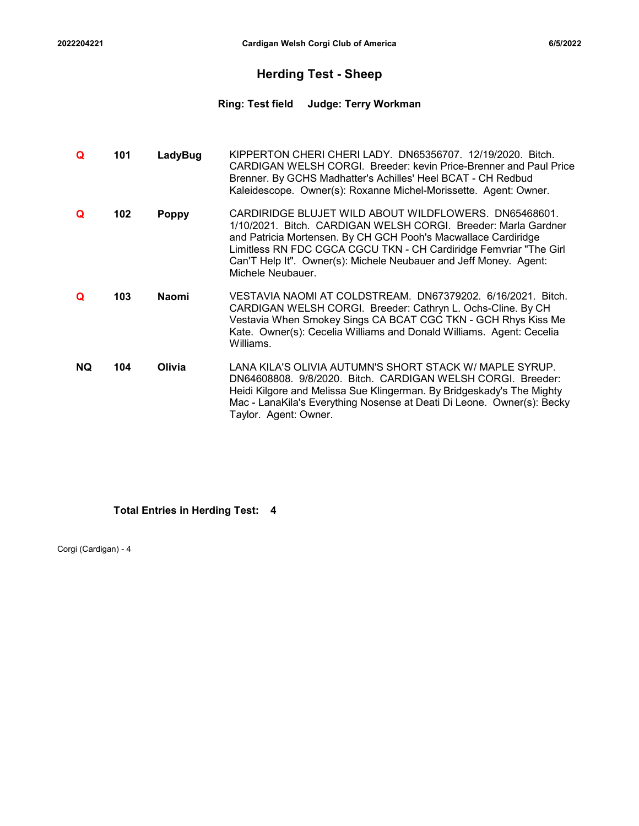### Herding Test - Sheep

# <sup>2022204221</sup> Cardigan Welsh Corgi Club of America 6/5/2022 Ring: Test field Judge: Terry Workman

|           |     |              | <b>Ring: Test field</b><br><b>Judge: Terry Workman</b>                                                                                                                                                                                                                                                                                                   |
|-----------|-----|--------------|----------------------------------------------------------------------------------------------------------------------------------------------------------------------------------------------------------------------------------------------------------------------------------------------------------------------------------------------------------|
| Q         | 101 | LadyBug      | KIPPERTON CHERI CHERI LADY. DN65356707. 12/19/2020. Bitch.<br>CARDIGAN WELSH CORGI. Breeder: kevin Price-Brenner and Paul Price<br>Brenner. By GCHS Madhatter's Achilles' Heel BCAT - CH Redbud<br>Kaleidescope. Owner(s): Roxanne Michel-Morissette. Agent: Owner.                                                                                      |
| Q         | 102 | <b>Poppy</b> | CARDIRIDGE BLUJET WILD ABOUT WILDFLOWERS. DN65468601.<br>1/10/2021. Bitch. CARDIGAN WELSH CORGI. Breeder: Marla Gardner<br>and Patricia Mortensen. By CH GCH Pooh's Macwallace Cardiridge<br>Limitless RN FDC CGCA CGCU TKN - CH Cardiridge Femvriar "The Girl<br>Can'T Help It". Owner(s): Michele Neubauer and Jeff Money. Agent:<br>Michele Neubauer. |
| Q         | 103 | Naomi        | VESTAVIA NAOMI AT COLDSTREAM. DN67379202. 6/16/2021. Bitch.<br>CARDIGAN WELSH CORGI. Breeder: Cathryn L. Ochs-Cline. By CH<br>Vestavia When Smokey Sings CA BCAT CGC TKN - GCH Rhys Kiss Me<br>Kate. Owner(s): Cecelia Williams and Donald Williams. Agent: Cecelia<br>Williams.                                                                         |
| <b>NQ</b> | 104 | Olivia       | LANA KILA'S OLIVIA AUTUMN'S SHORT STACK W/ MAPLE SYRUP.<br>DN64608808, 9/8/2020. Bitch. CARDIGAN WELSH CORGI. Breeder:<br>Heidi Kilgore and Melissa Sue Klingerman. By Bridgeskady's The Mighty<br>Mac - LanaKila's Everything Nosense at Deati Di Leone. Owner(s): Becky<br>Taylor. Agent: Owner.                                                       |

### Total Entries in Herding Test: 4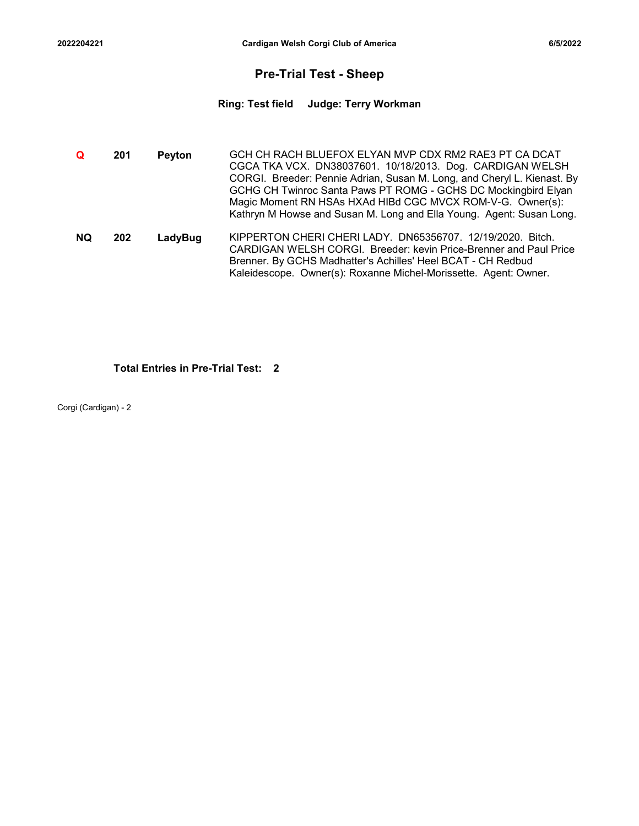### Pre-Trial Test - Sheep

# <sup>2022204221</sup> Cardigan Welsh Corgi Club of America 6/5/2022 Ring: Test field Judge: Terry Workman

| 2204221   |     |               | Cardigan Welsh Corgi Club of America                                                                                                                                                                                                                                                                                                                                                                  | 6/5/2022 |
|-----------|-----|---------------|-------------------------------------------------------------------------------------------------------------------------------------------------------------------------------------------------------------------------------------------------------------------------------------------------------------------------------------------------------------------------------------------------------|----------|
|           |     |               | <b>Pre-Trial Test - Sheep</b>                                                                                                                                                                                                                                                                                                                                                                         |          |
|           |     |               | <b>Judge: Terry Workman</b><br><b>Ring: Test field</b>                                                                                                                                                                                                                                                                                                                                                |          |
|           |     |               |                                                                                                                                                                                                                                                                                                                                                                                                       |          |
| Q         | 201 | <b>Peyton</b> | GCH CH RACH BLUEFOX ELYAN MVP CDX RM2 RAE3 PT CA DCAT<br>CGCA TKA VCX. DN38037601. 10/18/2013. Dog. CARDIGAN WELSH<br>CORGI. Breeder: Pennie Adrian, Susan M. Long, and Cheryl L. Kienast. By<br>GCHG CH Twinroc Santa Paws PT ROMG - GCHS DC Mockingbird Elyan<br>Magic Moment RN HSAs HXAd HIBd CGC MVCX ROM-V-G. Owner(s):<br>Kathryn M Howse and Susan M. Long and Ella Young. Agent: Susan Long. |          |
| <b>NQ</b> | 202 | LadyBug       | KIPPERTON CHERI CHERI LADY. DN65356707. 12/19/2020. Bitch.<br>CARDIGAN WELSH CORGI. Breeder: kevin Price-Brenner and Paul Price<br>Brenner. By GCHS Madhatter's Achilles' Heel BCAT - CH Redbud<br>Kaleidescope. Owner(s): Roxanne Michel-Morissette. Agent: Owner.                                                                                                                                   |          |
|           |     |               |                                                                                                                                                                                                                                                                                                                                                                                                       |          |

### Total Entries in Pre-Trial Test: 2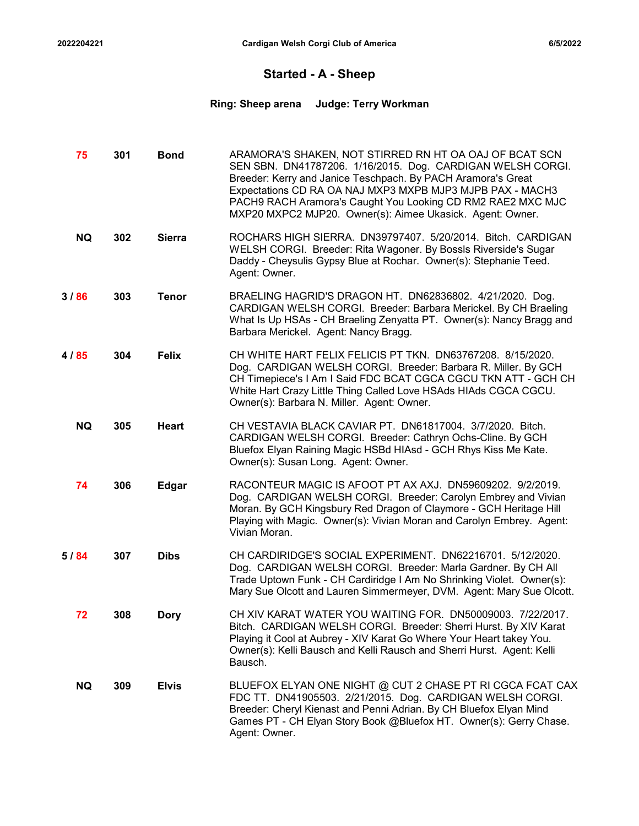### Started - A - Sheep

# Cardigan Welsh Corgi Club of America 6/5/2022<br>
Started - A - Sheep<br>
Ring: Sheep arena Judge: Terry Workman Ring: Sheep arena Judge: Terry Workman

|      | 2022204221 |     |               | Cardigan Welsh Corgi Club of America                                                                                                                                                                                                                                                                                                                                          | 6/5/2022 |
|------|------------|-----|---------------|-------------------------------------------------------------------------------------------------------------------------------------------------------------------------------------------------------------------------------------------------------------------------------------------------------------------------------------------------------------------------------|----------|
|      |            |     |               | <b>Started - A - Sheep</b>                                                                                                                                                                                                                                                                                                                                                    |          |
|      |            |     |               | <b>Judge: Terry Workman</b><br><b>Ring: Sheep arena</b>                                                                                                                                                                                                                                                                                                                       |          |
|      | 75         | 301 | <b>Bond</b>   | ARAMORA'S SHAKEN, NOT STIRRED RN HT OA OAJ OF BCAT SCN<br>SEN SBN. DN41787206. 1/16/2015. Dog. CARDIGAN WELSH CORGI.<br>Breeder: Kerry and Janice Teschpach. By PACH Aramora's Great<br>Expectations CD RA OA NAJ MXP3 MXPB MJP3 MJPB PAX - MACH3<br>PACH9 RACH Aramora's Caught You Looking CD RM2 RAE2 MXC MJC<br>MXP20 MXPC2 MJP20. Owner(s): Aimee Ukasick. Agent: Owner. |          |
|      | <b>NQ</b>  | 302 | <b>Sierra</b> | ROCHARS HIGH SIERRA. DN39797407. 5/20/2014. Bitch. CARDIGAN<br>WELSH CORGI. Breeder: Rita Wagoner. By Bossls Riverside's Sugar<br>Daddy - Cheysulis Gypsy Blue at Rochar. Owner(s): Stephanie Teed.<br>Agent: Owner.                                                                                                                                                          |          |
| 3/86 |            | 303 | <b>Tenor</b>  | BRAELING HAGRID'S DRAGON HT. DN62836802. 4/21/2020. Dog.<br>CARDIGAN WELSH CORGI. Breeder: Barbara Merickel. By CH Braeling<br>What Is Up HSAs - CH Braeling Zenyatta PT. Owner(s): Nancy Bragg and<br>Barbara Merickel. Agent: Nancy Bragg.                                                                                                                                  |          |
| 4/85 |            | 304 | <b>Felix</b>  | CH WHITE HART FELIX FELICIS PT TKN. DN63767208. 8/15/2020.<br>Dog. CARDIGAN WELSH CORGI. Breeder: Barbara R. Miller. By GCH<br>CH Timepiece's I Am I Said FDC BCAT CGCA CGCU TKN ATT - GCH CH<br>White Hart Crazy Little Thing Called Love HSAds HIAds CGCA CGCU.<br>Owner(s): Barbara N. Miller. Agent: Owner.                                                               |          |
|      | NQ.        | 305 | Heart         | CH VESTAVIA BLACK CAVIAR PT. DN61817004. 3/7/2020. Bitch.<br>CARDIGAN WELSH CORGI. Breeder: Cathryn Ochs-Cline. By GCH<br>Bluefox Elyan Raining Magic HSBd HIAsd - GCH Rhys Kiss Me Kate.<br>Owner(s): Susan Long. Agent: Owner.                                                                                                                                              |          |
|      | 74         | 306 | <b>Edgar</b>  | RACONTEUR MAGIC IS AFOOT PT AX AXJ. DN59609202. 9/2/2019.<br>Dog. CARDIGAN WELSH CORGI. Breeder: Carolyn Embrey and Vivian<br>Moran. By GCH Kingsbury Red Dragon of Claymore - GCH Heritage Hill<br>Playing with Magic. Owner(s): Vivian Moran and Carolyn Embrey. Agent:<br>Vivian Moran.                                                                                    |          |
| 5/84 |            | 307 | <b>Dibs</b>   | CH CARDIRIDGE'S SOCIAL EXPERIMENT. DN62216701. 5/12/2020.<br>Dog. CARDIGAN WELSH CORGI. Breeder: Marla Gardner. By CH All<br>Trade Uptown Funk - CH Cardiridge I Am No Shrinking Violet. Owner(s):<br>Mary Sue Olcott and Lauren Simmermeyer, DVM. Agent: Mary Sue Olcott.                                                                                                    |          |
|      | 72         | 308 | <b>Dory</b>   | CH XIV KARAT WATER YOU WAITING FOR. DN50009003. 7/22/2017.<br>Bitch. CARDIGAN WELSH CORGI. Breeder: Sherri Hurst. By XIV Karat<br>Playing it Cool at Aubrey - XIV Karat Go Where Your Heart takey You.<br>Owner(s): Kelli Bausch and Kelli Rausch and Sherri Hurst. Agent: Kelli<br>Bausch.                                                                                   |          |
|      | <b>NQ</b>  | 309 | <b>Elvis</b>  | BLUEFOX ELYAN ONE NIGHT @ CUT 2 CHASE PT RI CGCA FCAT CAX<br>FDC TT. DN41905503. 2/21/2015. Dog. CARDIGAN WELSH CORGI.<br>Breeder: Cheryl Kienast and Penni Adrian. By CH Bluefox Elyan Mind<br>Games PT - CH Elyan Story Book @Bluefox HT. Owner(s): Gerry Chase.<br>Agent: Owner.                                                                                           |          |
|      |            |     |               |                                                                                                                                                                                                                                                                                                                                                                               |          |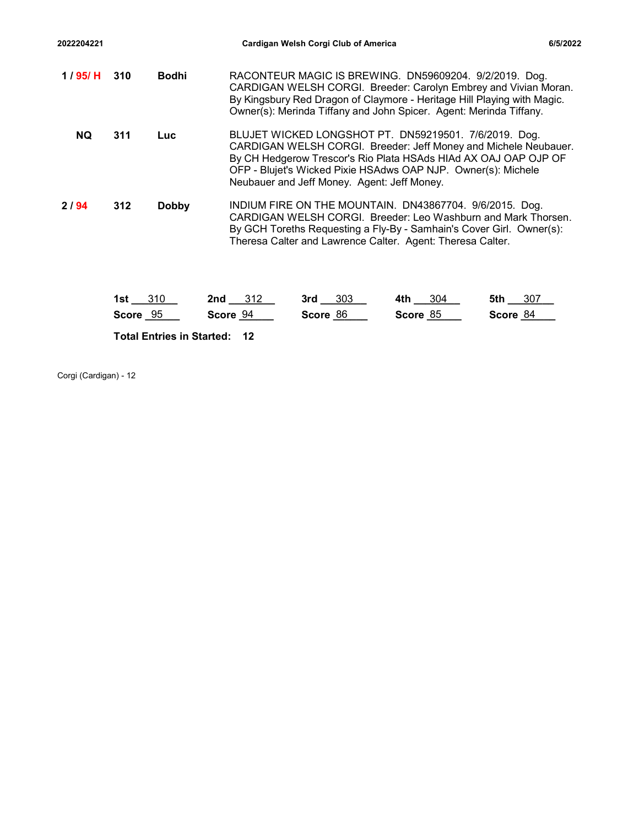| 2022204221 |                     | Cardigan Welsh Corgi Club of America                                                                                                                                                                                                                                                                        | 6/5/2022                                                                                                                                                                                         |  |  |  |  |  |  |  |
|------------|---------------------|-------------------------------------------------------------------------------------------------------------------------------------------------------------------------------------------------------------------------------------------------------------------------------------------------------------|--------------------------------------------------------------------------------------------------------------------------------------------------------------------------------------------------|--|--|--|--|--|--|--|
| 1 / 95/ H  | 310<br><b>Bodhi</b> | RACONTEUR MAGIC IS BREWING. DN59609204. 9/2/2019. Dog.<br>CARDIGAN WELSH CORGI. Breeder: Carolyn Embrey and Vivian Moran.<br>By Kingsbury Red Dragon of Claymore - Heritage Hill Playing with Magic.<br>Owner(s): Merinda Tiffany and John Spicer. Agent: Merinda Tiffany.                                  |                                                                                                                                                                                                  |  |  |  |  |  |  |  |
| <b>NQ</b>  | 311<br><b>Luc</b>   | BLUJET WICKED LONGSHOT PT. DN59219501. 7/6/2019. Dog.<br>CARDIGAN WELSH CORGI. Breeder: Jeff Money and Michele Neubauer.<br>By CH Hedgerow Trescor's Rio Plata HSAds HIAd AX OAJ OAP OJP OF<br>OFP - Blujet's Wicked Pixie HSAdws OAP NJP. Owner(s): Michele<br>Neubauer and Jeff Money. Agent: Jeff Money. |                                                                                                                                                                                                  |  |  |  |  |  |  |  |
|            |                     |                                                                                                                                                                                                                                                                                                             |                                                                                                                                                                                                  |  |  |  |  |  |  |  |
| 2/94       | 312<br><b>Dobby</b> | Theresa Calter and Lawrence Calter. Agent: Theresa Calter.                                                                                                                                                                                                                                                  | INDIUM FIRE ON THE MOUNTAIN. DN43867704. 9/6/2015. Dog.<br>CARDIGAN WELSH CORGI. Breeder: Leo Washburn and Mark Thorsen.<br>By GCH Toreths Requesting a Fly-By - Samhain's Cover Girl. Owner(s): |  |  |  |  |  |  |  |
|            |                     |                                                                                                                                                                                                                                                                                                             |                                                                                                                                                                                                  |  |  |  |  |  |  |  |
|            | 1st $310$           | 3rd 303<br>2nd $312$                                                                                                                                                                                                                                                                                        | 4th $304$<br>5th _____ 307                                                                                                                                                                       |  |  |  |  |  |  |  |
|            | Score 95            | Score 94<br>Score 86                                                                                                                                                                                                                                                                                        | Score 85<br>Score 84                                                                                                                                                                             |  |  |  |  |  |  |  |

| 310<br>1st   | つきつ<br>2nd<br>◡⊢∠ | 303<br>3rd | 304<br>4th | 307<br>5th |
|--------------|-------------------|------------|------------|------------|
| 95           | 94                | 86         | 85         | 84         |
| <b>Score</b> | Score             | Score      | Score      | Score      |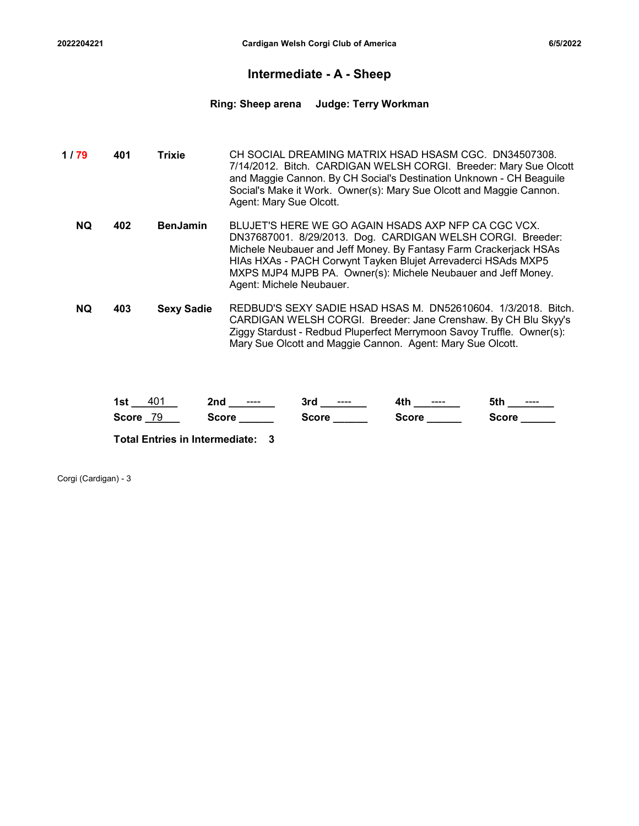### Intermediate - A - Sheep

Cardigan Welsh Corgi Club of America 6/5/2022<br>
Cardigan Welsh Corgi Club of America<br>
Intermediate - A - Sheep<br>
Ring: Sheep arena Judge: Terry Workman Ring: Sheep arena Judge: Terry Workman

| 022204221 |     |                   |                          | Cardigan Welsh Corgi Club of America                       | 6/5/2022                                                                                                                                                                                                                                                                                                                 |
|-----------|-----|-------------------|--------------------------|------------------------------------------------------------|--------------------------------------------------------------------------------------------------------------------------------------------------------------------------------------------------------------------------------------------------------------------------------------------------------------------------|
|           |     |                   |                          | Intermediate - A - Sheep                                   |                                                                                                                                                                                                                                                                                                                          |
|           |     |                   | <b>Ring: Sheep arena</b> | <b>Judge: Terry Workman</b>                                |                                                                                                                                                                                                                                                                                                                          |
| 1/79      | 401 | <b>Trixie</b>     | Agent: Mary Sue Olcott.  |                                                            | CH SOCIAL DREAMING MATRIX HSAD HSASM CGC. DN34507308.<br>7/14/2012. Bitch. CARDIGAN WELSH CORGI. Breeder: Mary Sue Olcott<br>and Maggie Cannon. By CH Social's Destination Unknown - CH Beaguile<br>Social's Make it Work. Owner(s): Mary Sue Olcott and Maggie Cannon.                                                  |
| <b>NQ</b> | 402 | <b>BenJamin</b>   | Agent: Michele Neubauer. |                                                            | BLUJET'S HERE WE GO AGAIN HSADS AXP NFP CA CGC VCX.<br>DN37687001. 8/29/2013. Dog. CARDIGAN WELSH CORGI. Breeder:<br>Michele Neubauer and Jeff Money. By Fantasy Farm Crackerjack HSAs<br>HIAs HXAs - PACH Corwynt Tayken Blujet Arrevaderci HSAds MXP5<br>MXPS MJP4 MJPB PA. Owner(s): Michele Neubauer and Jeff Money. |
| <b>NQ</b> | 403 | <b>Sexy Sadie</b> |                          | Mary Sue Olcott and Maggie Cannon. Agent: Mary Sue Olcott. | REDBUD'S SEXY SADIE HSAD HSAS M. DN52610604. 1/3/2018. Bitch.<br>CARDIGAN WELSH CORGI. Breeder: Jane Crenshaw. By CH Blu Skyy's<br>Ziggy Stardust - Redbud Pluperfect Merrymoon Savoy Truffle. Owner(s):                                                                                                                 |

| 40<br>1st          | 2nd<br>---- | 3ro<br>---- | 4tł<br>$--- -$ | <b>TAL</b><br>$---$<br>ou. |
|--------------------|-------------|-------------|----------------|----------------------------|
| <b>Score</b><br>79 | Score       | Score       | Score          | Score                      |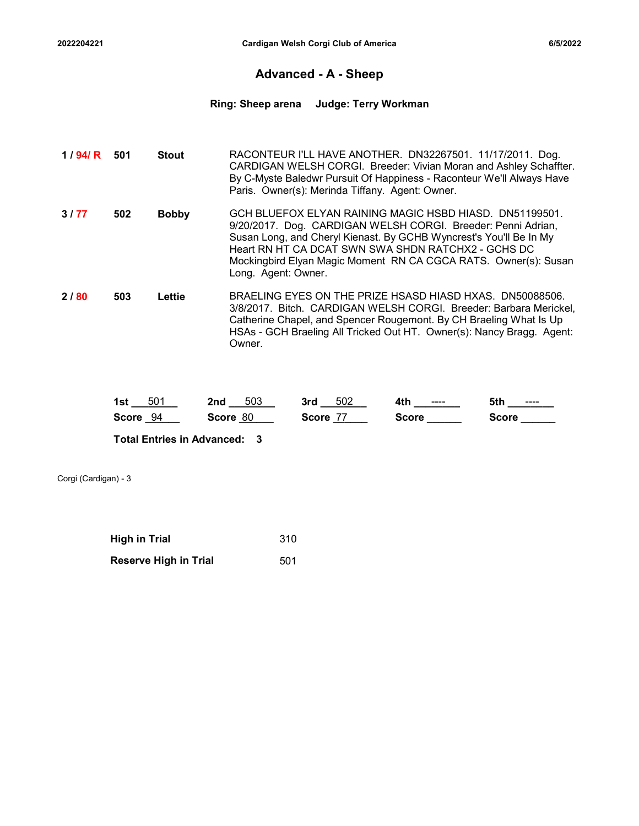### Advanced - A - Sheep

# 2022204221 Cardigan Welsh Corgi Club of America<br>
Advanced - A - Sheep<br>
Ring: Sheep arena Judge: Terry Workman Ring: Sheep arena Judge: Terry Workman

| 2022204221  |     |              |                               | Cardigan Welsh Corgi Club of America                                                                                                                                                                                                                                                                                   |              |              | 6/5/2022 |
|-------------|-----|--------------|-------------------------------|------------------------------------------------------------------------------------------------------------------------------------------------------------------------------------------------------------------------------------------------------------------------------------------------------------------------|--------------|--------------|----------|
|             |     |              |                               | <b>Advanced - A - Sheep</b>                                                                                                                                                                                                                                                                                            |              |              |          |
|             |     |              | Ring: Sheep arena             | <b>Judge: Terry Workman</b>                                                                                                                                                                                                                                                                                            |              |              |          |
| 1 / 94/ $R$ | 501 | <b>Stout</b> |                               | RACONTEUR I'LL HAVE ANOTHER. DN32267501. 11/17/2011. Dog.<br>CARDIGAN WELSH CORGI. Breeder: Vivian Moran and Ashley Schaffter.<br>By C-Myste Baledwr Pursuit Of Happiness - Raconteur We'll Always Have<br>Paris. Owner(s): Merinda Tiffany. Agent: Owner.                                                             |              |              |          |
| 3177        | 502 | <b>Bobby</b> | Long. Agent: Owner.           | GCH BLUEFOX ELYAN RAINING MAGIC HSBD HIASD. DN51199501.<br>9/20/2017. Dog. CARDIGAN WELSH CORGI. Breeder: Penni Adrian,<br>Susan Long, and Cheryl Kienast. By GCHB Wyncrest's You'll Be In My<br>Heart RN HT CA DCAT SWN SWA SHDN RATCHX2 - GCHS DC<br>Mockingbird Elyan Magic Moment RN CA CGCA RATS. Owner(s): Susan |              |              |          |
| 2/80        | 503 | Lettie       | Owner.                        | BRAELING EYES ON THE PRIZE HSASD HIASD HXAS. DN50088506.<br>3/8/2017. Bitch. CARDIGAN WELSH CORGI. Breeder: Barbara Merickel,<br>Catherine Chapel, and Spencer Rougemont. By CH Braeling What Is Up<br>HSAs - GCH Braeling All Tricked Out HT. Owner(s): Nancy Bragg. Agent:                                           |              |              |          |
|             |     |              | <b>1st</b> 501 <b>2nd</b> 503 | <b>3rd</b> 502                                                                                                                                                                                                                                                                                                         | 4th _______  | 5th ________ |          |
|             |     | Score $94$   | Score 80                      | Score 77                                                                                                                                                                                                                                                                                                               | Score ______ | Score ______ |          |

| EO <sub>4</sub><br>1st<br>ວບາ | 503<br>2nd  | 502<br>3rd         | 4tł<br>---- | 5th<br>---- |
|-------------------------------|-------------|--------------------|-------------|-------------|
| <b>Score</b><br>94            | 80<br>Score | --<br><b>Score</b> | Score       | Score       |

| <b>High in Trial</b>         | 310 |
|------------------------------|-----|
| <b>Reserve High in Trial</b> | 501 |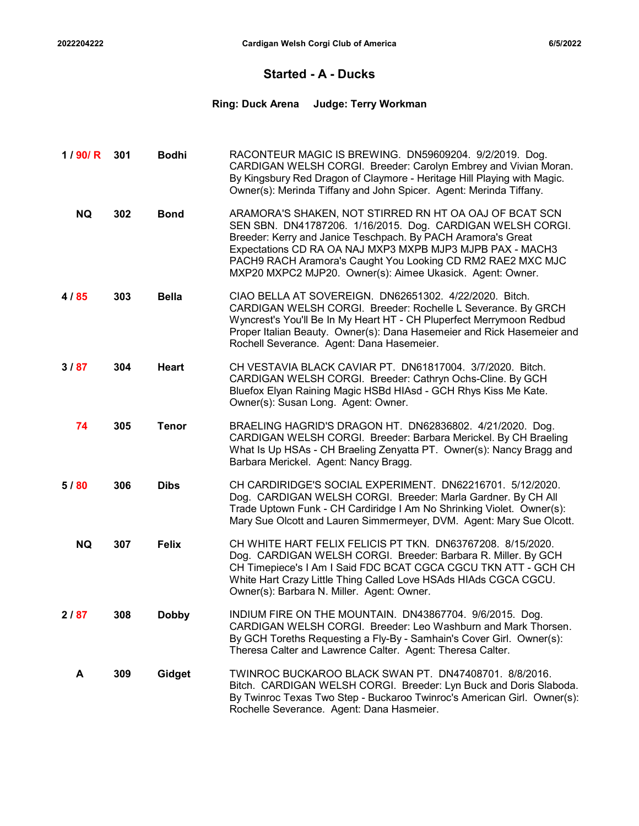### Started - A - Ducks

# 2022204222 Cardigan Welsh Corgi Club of America<br>Started - A - Ducks<br>Ring: Duck Arena Judge: Terry Workman Ring: Duck Arena Judge: Terry Workman

| 2022204222 |     |              |                         | Cardigan Welsh Corgi Club of America                                                                                                                                                                                                                                                                                                                                          | 6/5/2022 |
|------------|-----|--------------|-------------------------|-------------------------------------------------------------------------------------------------------------------------------------------------------------------------------------------------------------------------------------------------------------------------------------------------------------------------------------------------------------------------------|----------|
|            |     |              |                         | <b>Started - A - Ducks</b>                                                                                                                                                                                                                                                                                                                                                    |          |
|            |     |              | <b>Ring: Duck Arena</b> | <b>Judge: Terry Workman</b>                                                                                                                                                                                                                                                                                                                                                   |          |
| 1/90/R     | 301 | <b>Bodhi</b> |                         | RACONTEUR MAGIC IS BREWING. DN59609204. 9/2/2019. Dog.<br>CARDIGAN WELSH CORGI. Breeder: Carolyn Embrey and Vivian Moran.<br>By Kingsbury Red Dragon of Claymore - Heritage Hill Playing with Magic.<br>Owner(s): Merinda Tiffany and John Spicer. Agent: Merinda Tiffany.                                                                                                    |          |
| <b>NQ</b>  | 302 | <b>Bond</b>  |                         | ARAMORA'S SHAKEN, NOT STIRRED RN HT OA OAJ OF BCAT SCN<br>SEN SBN. DN41787206. 1/16/2015. Dog. CARDIGAN WELSH CORGI.<br>Breeder: Kerry and Janice Teschpach. By PACH Aramora's Great<br>Expectations CD RA OA NAJ MXP3 MXPB MJP3 MJPB PAX - MACH3<br>PACH9 RACH Aramora's Caught You Looking CD RM2 RAE2 MXC MJC<br>MXP20 MXPC2 MJP20. Owner(s): Aimee Ukasick. Agent: Owner. |          |
| 4/85       | 303 | <b>Bella</b> |                         | CIAO BELLA AT SOVEREIGN. DN62651302. 4/22/2020. Bitch.<br>CARDIGAN WELSH CORGI. Breeder: Rochelle L Severance. By GRCH<br>Wyncrest's You'll Be In My Heart HT - CH Pluperfect Merrymoon Redbud<br>Proper Italian Beauty. Owner(s): Dana Hasemeier and Rick Hasemeier and<br>Rochell Severance. Agent: Dana Hasemeier.                                                         |          |
| 3/87       | 304 | <b>Heart</b> |                         | CH VESTAVIA BLACK CAVIAR PT. DN61817004. 3/7/2020. Bitch.<br>CARDIGAN WELSH CORGI. Breeder: Cathryn Ochs-Cline. By GCH<br>Bluefox Elyan Raining Magic HSBd HIAsd - GCH Rhys Kiss Me Kate.<br>Owner(s): Susan Long. Agent: Owner.                                                                                                                                              |          |
| 74         | 305 | <b>Tenor</b> |                         | BRAELING HAGRID'S DRAGON HT. DN62836802. 4/21/2020. Dog.<br>CARDIGAN WELSH CORGI. Breeder: Barbara Merickel. By CH Braeling<br>What Is Up HSAs - CH Braeling Zenyatta PT. Owner(s): Nancy Bragg and<br>Barbara Merickel. Agent: Nancy Bragg.                                                                                                                                  |          |
| 5/80       | 306 | <b>Dibs</b>  |                         | CH CARDIRIDGE'S SOCIAL EXPERIMENT. DN62216701. 5/12/2020.<br>Dog. CARDIGAN WELSH CORGI. Breeder: Marla Gardner. By CH All<br>Trade Uptown Funk - CH Cardiridge I Am No Shrinking Violet. Owner(s):<br>Mary Sue Olcott and Lauren Simmermeyer, DVM. Agent: Mary Sue Olcott.                                                                                                    |          |
| <b>NQ</b>  | 307 | <b>Felix</b> |                         | CH WHITE HART FELIX FELICIS PT TKN. DN63767208. 8/15/2020.<br>Dog. CARDIGAN WELSH CORGI. Breeder: Barbara R. Miller. By GCH<br>CH Timepiece's I Am I Said FDC BCAT CGCA CGCU TKN ATT - GCH CH<br>White Hart Crazy Little Thing Called Love HSAds HIAds CGCA CGCU.<br>Owner(s): Barbara N. Miller. Agent: Owner.                                                               |          |
| 2/87       | 308 | <b>Dobby</b> |                         | INDIUM FIRE ON THE MOUNTAIN. DN43867704. 9/6/2015. Dog.<br>CARDIGAN WELSH CORGI. Breeder: Leo Washburn and Mark Thorsen.<br>By GCH Toreths Requesting a Fly-By - Samhain's Cover Girl. Owner(s):<br>Theresa Calter and Lawrence Calter. Agent: Theresa Calter.                                                                                                                |          |
| A          | 309 | Gidget       |                         | TWINROC BUCKAROO BLACK SWAN PT. DN47408701. 8/8/2016.<br>Bitch. CARDIGAN WELSH CORGI. Breeder: Lyn Buck and Doris Slaboda.<br>By Twinroc Texas Two Step - Buckaroo Twinroc's American Girl. Owner(s):<br>Rochelle Severance. Agent: Dana Hasmeier.                                                                                                                            |          |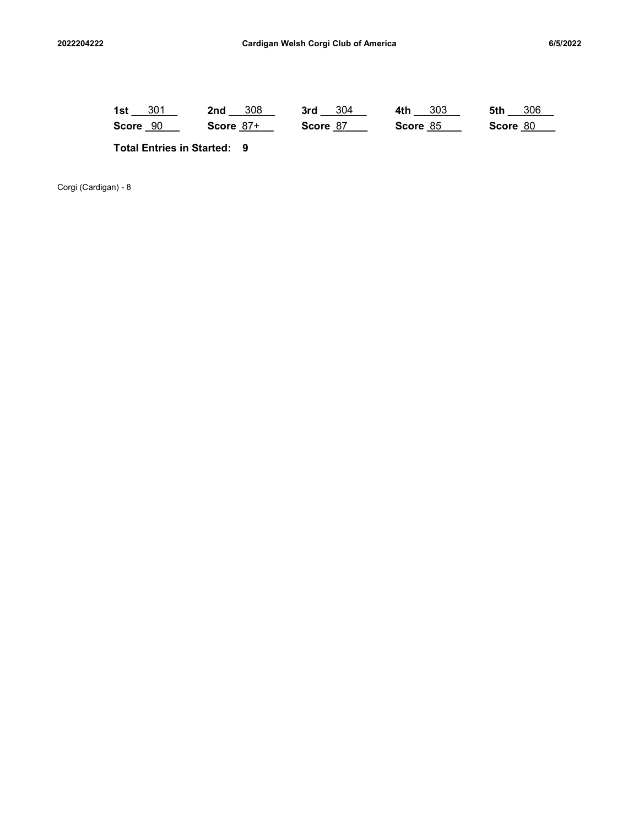| 2022204222           |                       | Cardigan Welsh Corgi Club of America |                                    |  |                            |  |                         |  |                     | 6/5/2022 |                     |  |  |
|----------------------|-----------------------|--------------------------------------|------------------------------------|--|----------------------------|--|-------------------------|--|---------------------|----------|---------------------|--|--|
|                      |                       |                                      |                                    |  |                            |  |                         |  |                     |          |                     |  |  |
|                      | 1st $301$<br>Score 90 |                                      |                                    |  | $2nd - 308$<br>Score $87+$ |  | $3rd - 304$<br>Score 87 |  | 4th 303<br>Score 85 |          | 5th 306<br>Score 80 |  |  |
|                      |                       |                                      | <b>Total Entries in Started: 9</b> |  |                            |  |                         |  |                     |          |                     |  |  |
| Corgi (Cardigan) - 8 |                       |                                      |                                    |  |                            |  |                         |  |                     |          |                     |  |  |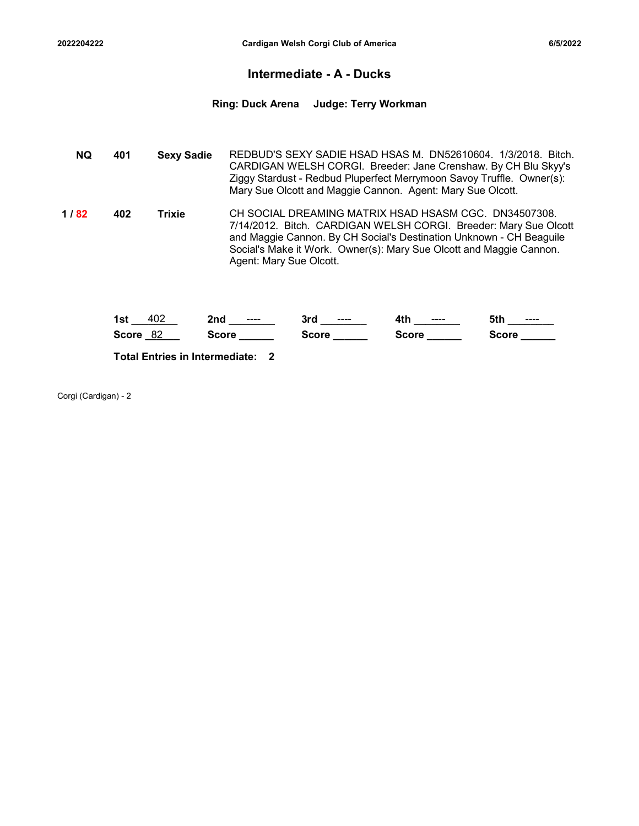### Intermediate - A - Ducks

# 2022204222 Cardigan Welsh Corgi Club of America<br>Intermediate - A - Ducks<br>Ring: Duck Arena Judge: Terry Workman Ring: Duck Arena Judge: Terry Workman

| 2022204222 |     |                   | Cardigan Welsh Corgi Club of America                                                                                                                                                                                                                                                               | 6/5/2022 |
|------------|-----|-------------------|----------------------------------------------------------------------------------------------------------------------------------------------------------------------------------------------------------------------------------------------------------------------------------------------------|----------|
|            |     |                   | <b>Intermediate - A - Ducks</b>                                                                                                                                                                                                                                                                    |          |
|            |     |                   | Ring: Duck Arena Judge: Terry Workman                                                                                                                                                                                                                                                              |          |
| <b>NQ</b>  | 401 | <b>Sexy Sadie</b> | REDBUD'S SEXY SADIE HSAD HSAS M. DN52610604. 1/3/2018. Bitch.<br>CARDIGAN WELSH CORGI. Breeder: Jane Crenshaw. By CH Blu Skyy's<br>Ziggy Stardust - Redbud Pluperfect Merrymoon Savoy Truffle. Owner(s):<br>Mary Sue Olcott and Maggie Cannon. Agent: Mary Sue Olcott.                             |          |
| 1/82       | 402 | <b>Trixie</b>     | CH SOCIAL DREAMING MATRIX HSAD HSASM CGC. DN34507308.<br>7/14/2012. Bitch. CARDIGAN WELSH CORGI. Breeder: Mary Sue Olcott<br>and Maggie Cannon. By CH Social's Destination Unknown - CH Beaguile<br>Social's Make it Work. Owner(s): Mary Sue Olcott and Maggie Cannon.<br>Agent: Mary Sue Olcott. |          |

| 1st<br>402                            | 2nd          | 3rd<br>$\cdots$ | 4th<br>$\cdots$ | 5th<br>$\qquad \qquad \cdots \qquad \qquad$ |
|---------------------------------------|--------------|-----------------|-----------------|---------------------------------------------|
| 82<br><b>Score</b>                    | <b>Score</b> | Score           | <b>Score</b>    | <b>Score</b>                                |
| <b>Total Entries in Intermediate:</b> |              |                 |                 |                                             |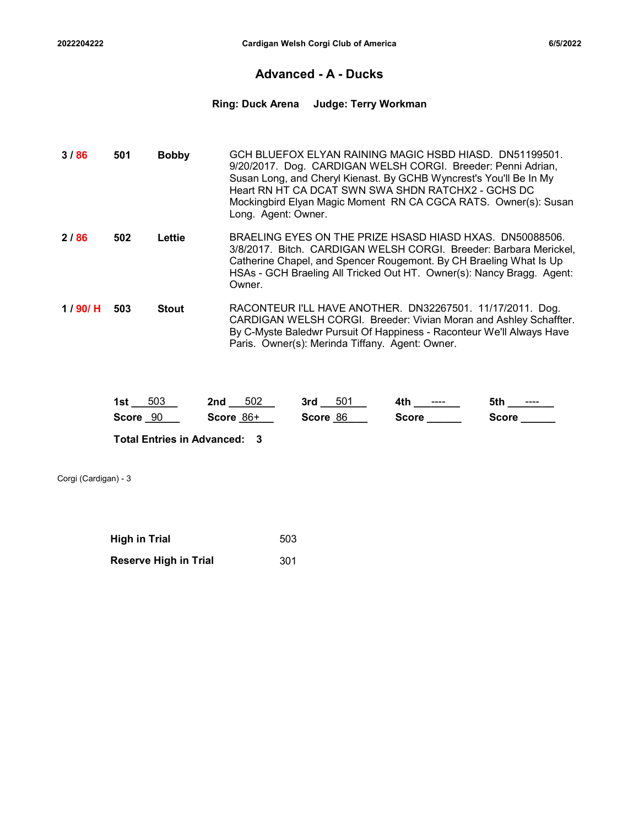### Advanced - A - Ducks

# Cardigan Welsh Corgi Club of America 6/5/2022<br>Advanced - A - Ducks<br>Ring: Duck Arena Judge: Terry Workman Ring: Duck Arena Judge: Terry Workman

| 2022204222 |     |              |                     | Cardigan Welsh Corgi Club of America               |                     |                                                                                                                                                                                                                                                                              | 6/5/2022 |
|------------|-----|--------------|---------------------|----------------------------------------------------|---------------------|------------------------------------------------------------------------------------------------------------------------------------------------------------------------------------------------------------------------------------------------------------------------------|----------|
|            |     |              |                     | <b>Advanced - A - Ducks</b>                        |                     |                                                                                                                                                                                                                                                                              |          |
|            |     |              |                     | Ring: Duck Arena Judge: Terry Workman              |                     |                                                                                                                                                                                                                                                                              |          |
| 3/86       | 501 | <b>Bobby</b> | Long. Agent: Owner. | Heart RN HT CA DCAT SWN SWA SHDN RATCHX2 - GCHS DC |                     | GCH BLUEFOX ELYAN RAINING MAGIC HSBD HIASD. DN51199501.<br>9/20/2017. Dog. CARDIGAN WELSH CORGI. Breeder: Penni Adrian,<br>Susan Long, and Cheryl Kienast. By GCHB Wyncrest's You'll Be In My<br>Mockingbird Elyan Magic Moment RN CA CGCA RATS. Owner(s): Susan             |          |
| 2/86       | 502 | Lettie       | Owner.              |                                                    |                     | BRAELING EYES ON THE PRIZE HSASD HIASD HXAS. DN50088506.<br>3/8/2017. Bitch. CARDIGAN WELSH CORGI. Breeder: Barbara Merickel,<br>Catherine Chapel, and Spencer Rougemont. By CH Braeling What Is Up<br>HSAs - GCH Braeling All Tricked Out HT. Owner(s): Nancy Bragg. Agent: |          |
| 1/90/H     | 503 | <b>Stout</b> |                     | Paris. Owner(s): Merinda Tiffany. Agent: Owner.    |                     | RACONTEUR I'LL HAVE ANOTHER. DN32267501. 11/17/2011. Dog.<br>CARDIGAN WELSH CORGI. Breeder: Vivian Moran and Ashley Schaffter.<br>By C-Myste Baledwr Pursuit Of Happiness - Raconteur We'll Always Have                                                                      |          |
|            |     | 1st $503$    | 2nd $502$           |                                                    | 3rd $501$ 4th $---$ | 5th ________                                                                                                                                                                                                                                                                 |          |
|            |     | Score $90$   | Score 86+           |                                                    |                     | $Score$ <sub>________</sub>                                                                                                                                                                                                                                                  |          |

| 503<br>1st         | 502<br>2nd     | 50 <sup>1</sup><br>3rd | 4H<br>----<br>TU. | 5th<br>---- |
|--------------------|----------------|------------------------|-------------------|-------------|
| <b>Score</b><br>90 | $86+$<br>Score | 86<br><b>Score</b>     | Score             | Score       |

| <b>High in Trial</b>         | 503 |
|------------------------------|-----|
| <b>Reserve High in Trial</b> | 301 |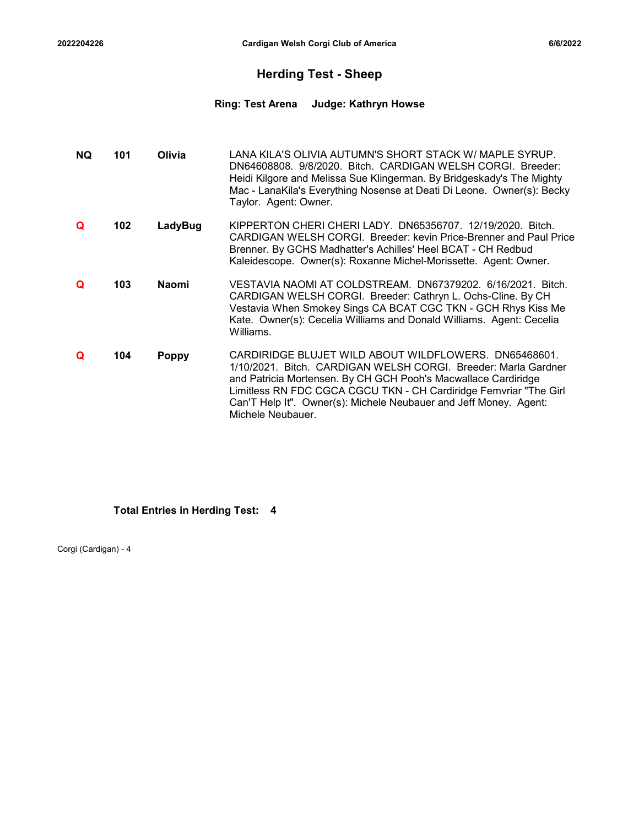### Herding Test - Sheep

# <sup>2022204226</sup> Cardigan Welsh Corgi Club of America 6/6/2022 Ring: Test Arena Judge: Kathryn Howse

| 2204226 |     |              | Cardigan Welsh Corgi Club of America                                                                                                                                                                                                                                                                                                                     | 6/6/2022 |
|---------|-----|--------------|----------------------------------------------------------------------------------------------------------------------------------------------------------------------------------------------------------------------------------------------------------------------------------------------------------------------------------------------------------|----------|
|         |     |              | <b>Herding Test - Sheep</b>                                                                                                                                                                                                                                                                                                                              |          |
|         |     |              | <b>Ring: Test Arena</b><br>Judge: Kathryn Howse                                                                                                                                                                                                                                                                                                          |          |
| NQ.     | 101 | Olivia       | LANA KILA'S OLIVIA AUTUMN'S SHORT STACK W/ MAPLE SYRUP.<br>DN64608808. 9/8/2020. Bitch. CARDIGAN WELSH CORGI. Breeder:<br>Heidi Kilgore and Melissa Sue Klingerman. By Bridgeskady's The Mighty<br>Mac - LanaKila's Everything Nosense at Deati Di Leone. Owner(s): Becky<br>Taylor. Agent: Owner.                                                       |          |
| Q       | 102 | LadyBug      | KIPPERTON CHERI CHERI LADY. DN65356707. 12/19/2020. Bitch.<br>CARDIGAN WELSH CORGI. Breeder: kevin Price-Brenner and Paul Price<br>Brenner. By GCHS Madhatter's Achilles' Heel BCAT - CH Redbud<br>Kaleidescope. Owner(s): Roxanne Michel-Morissette. Agent: Owner.                                                                                      |          |
| Q       | 103 | <b>Naomi</b> | VESTAVIA NAOMI AT COLDSTREAM. DN67379202. 6/16/2021. Bitch.<br>CARDIGAN WELSH CORGI. Breeder: Cathryn L. Ochs-Cline. By CH<br>Vestavia When Smokey Sings CA BCAT CGC TKN - GCH Rhys Kiss Me<br>Kate. Owner(s): Cecelia Williams and Donald Williams. Agent: Cecelia<br>Williams.                                                                         |          |
| Q       | 104 | <b>Poppy</b> | CARDIRIDGE BLUJET WILD ABOUT WILDFLOWERS. DN65468601.<br>1/10/2021. Bitch. CARDIGAN WELSH CORGI. Breeder: Marla Gardner<br>and Patricia Mortensen. By CH GCH Pooh's Macwallace Cardiridge<br>Limitless RN FDC CGCA CGCU TKN - CH Cardiridge Femvriar "The Girl<br>Can'T Help It". Owner(s): Michele Neubauer and Jeff Money. Agent:<br>Michele Neubauer. |          |

### Total Entries in Herding Test: 4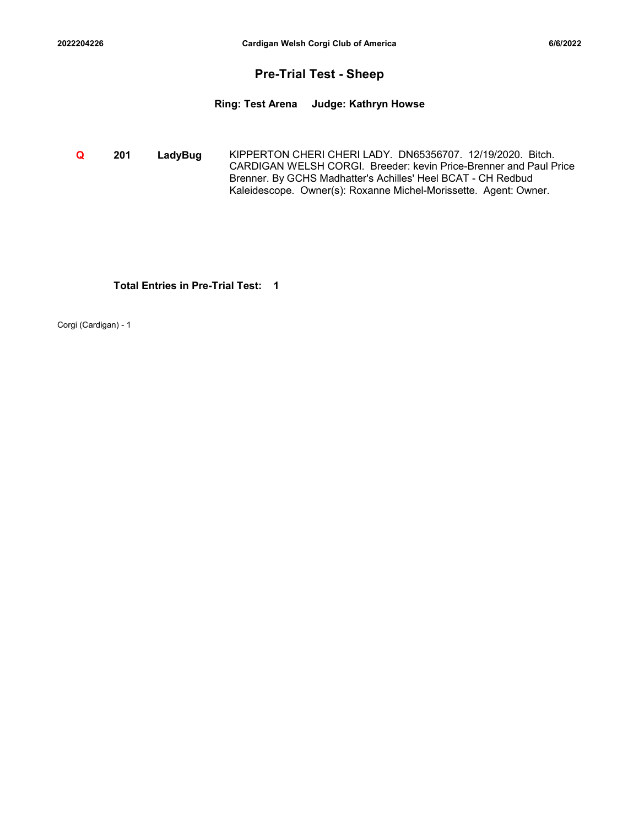### Pre-Trial Test - Sheep

<sup>2022204226</sup> Cardigan Welsh Corgi Club of America 6/6/2022 Ring: Test Arena Judge: Kathryn Howse

**Q 201 LadyBug** KIPPERTON CHERI CHERI LADY. DN65356707. 12/19/2020. Bitch. CARDIGAN WELSH CORGI. Breeder: kevin Price-Brenner and Paul Price Brenner. By GCHS Madhatter's Achilles' Heel BCAT - CH Redbud Kaleidescope. Owner(s): Roxanne Michel-Morissette. Agent: Owner.

### Total Entries in Pre-Trial Test: 1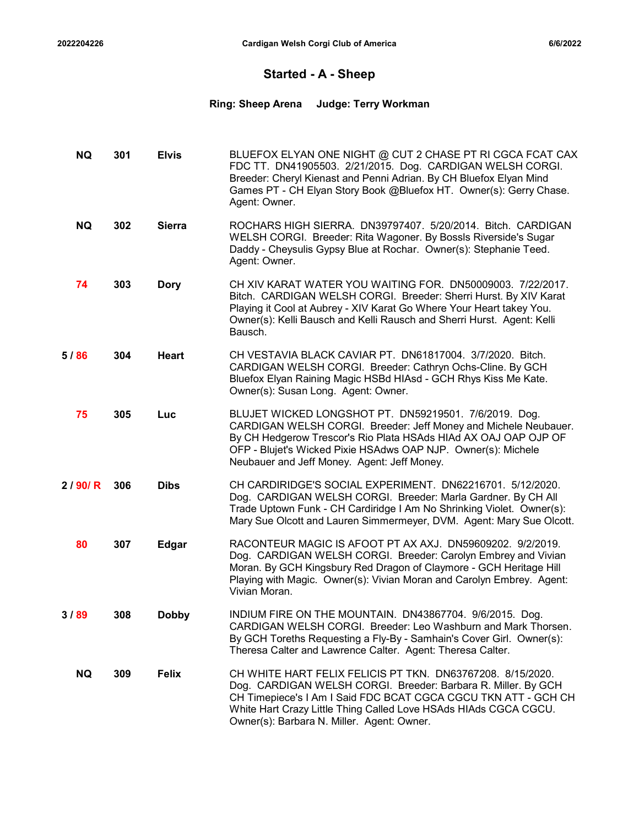### Started - A - Sheep

# 2022204226 Cardigan Welsh Corgi Club of America<br>
Started - A - Sheep<br>
Ring: Sheep Arena Judge: Terry Workman Ring: Sheep Arena Judge: Terry Workman

| 022204226 |     |               |                          | <b>Cardigan Welsh Corgi Club of America</b>                                                                                                                                                                                                                                                                     | 6/6/2022 |
|-----------|-----|---------------|--------------------------|-----------------------------------------------------------------------------------------------------------------------------------------------------------------------------------------------------------------------------------------------------------------------------------------------------------------|----------|
|           |     |               |                          | <b>Started - A - Sheep</b>                                                                                                                                                                                                                                                                                      |          |
|           |     |               | <b>Ring: Sheep Arena</b> | <b>Judge: Terry Workman</b>                                                                                                                                                                                                                                                                                     |          |
| NQ.       | 301 | <b>Elvis</b>  | Agent: Owner.            | BLUEFOX ELYAN ONE NIGHT @ CUT 2 CHASE PT RI CGCA FCAT CAX<br>FDC TT. DN41905503. 2/21/2015. Dog. CARDIGAN WELSH CORGI.<br>Breeder: Cheryl Kienast and Penni Adrian. By CH Bluefox Elyan Mind<br>Games PT - CH Elyan Story Book @Bluefox HT. Owner(s): Gerry Chase.                                              |          |
| <b>NQ</b> | 302 | <b>Sierra</b> | Agent: Owner.            | ROCHARS HIGH SIERRA. DN39797407. 5/20/2014. Bitch. CARDIGAN<br>WELSH CORGI. Breeder: Rita Wagoner. By Bossls Riverside's Sugar<br>Daddy - Cheysulis Gypsy Blue at Rochar. Owner(s): Stephanie Teed.                                                                                                             |          |
| 74        | 303 | <b>Dory</b>   | Bausch.                  | CH XIV KARAT WATER YOU WAITING FOR. DN50009003. 7/22/2017.<br>Bitch. CARDIGAN WELSH CORGI. Breeder: Sherri Hurst. By XIV Karat<br>Playing it Cool at Aubrey - XIV Karat Go Where Your Heart takey You.<br>Owner(s): Kelli Bausch and Kelli Rausch and Sherri Hurst. Agent: Kelli                                |          |
| 5/86      | 304 | <b>Heart</b>  |                          | CH VESTAVIA BLACK CAVIAR PT. DN61817004. 3/7/2020. Bitch.<br>CARDIGAN WELSH CORGI. Breeder: Cathryn Ochs-Cline. By GCH<br>Bluefox Elyan Raining Magic HSBd HIAsd - GCH Rhys Kiss Me Kate.<br>Owner(s): Susan Long. Agent: Owner.                                                                                |          |
| 75        | 305 | Luc           |                          | BLUJET WICKED LONGSHOT PT. DN59219501. 7/6/2019. Dog.<br>CARDIGAN WELSH CORGI. Breeder: Jeff Money and Michele Neubauer.<br>By CH Hedgerow Trescor's Rio Plata HSAds HIAd AX OAJ OAP OJP OF<br>OFP - Blujet's Wicked Pixie HSAdws OAP NJP. Owner(s): Michele<br>Neubauer and Jeff Money. Agent: Jeff Money.     |          |
| 2/90/R    | 306 | <b>Dibs</b>   |                          | CH CARDIRIDGE'S SOCIAL EXPERIMENT. DN62216701. 5/12/2020.<br>Dog. CARDIGAN WELSH CORGI. Breeder: Marla Gardner. By CH All<br>Trade Uptown Funk - CH Cardiridge I Am No Shrinking Violet. Owner(s):<br>Mary Sue Olcott and Lauren Simmermeyer, DVM. Agent: Mary Sue Olcott.                                      |          |
| 80        | 307 | <b>Edgar</b>  | Vivian Moran.            | RACONTEUR MAGIC IS AFOOT PT AX AXJ. DN59609202. 9/2/2019.<br>Dog. CARDIGAN WELSH CORGI. Breeder: Carolyn Embrey and Vivian<br>Moran. By GCH Kingsbury Red Dragon of Claymore - GCH Heritage Hill<br>Playing with Magic. Owner(s): Vivian Moran and Carolyn Embrey. Agent:                                       |          |
| 3/89      | 308 | <b>Dobby</b>  |                          | INDIUM FIRE ON THE MOUNTAIN. DN43867704. 9/6/2015. Dog.<br>CARDIGAN WELSH CORGI. Breeder: Leo Washburn and Mark Thorsen.<br>By GCH Toreths Requesting a Fly-By - Samhain's Cover Girl. Owner(s):<br>Theresa Calter and Lawrence Calter. Agent: Theresa Calter.                                                  |          |
| NQ.       | 309 | <b>Felix</b>  |                          | CH WHITE HART FELIX FELICIS PT TKN. DN63767208. 8/15/2020.<br>Dog. CARDIGAN WELSH CORGI. Breeder: Barbara R. Miller. By GCH<br>CH Timepiece's I Am I Said FDC BCAT CGCA CGCU TKN ATT - GCH CH<br>White Hart Crazy Little Thing Called Love HSAds HIAds CGCA CGCU.<br>Owner(s): Barbara N. Miller. Agent: Owner. |          |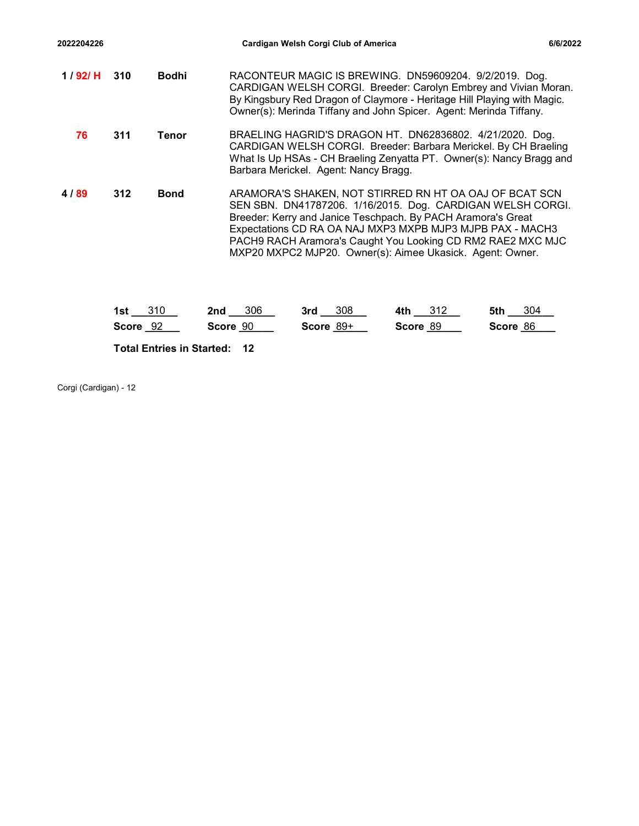| 2022204226            |     |              |                                     | Cardigan Welsh Corgi Club of America                                                                                                                                                                                                                                                                                                                                          |                                                                                                                                                                                                     |          | 6/6/2022 |  |  |
|-----------------------|-----|--------------|-------------------------------------|-------------------------------------------------------------------------------------------------------------------------------------------------------------------------------------------------------------------------------------------------------------------------------------------------------------------------------------------------------------------------------|-----------------------------------------------------------------------------------------------------------------------------------------------------------------------------------------------------|----------|----------|--|--|
| 1 / 92/ H             | 310 | <b>Bodhi</b> |                                     | RACONTEUR MAGIC IS BREWING. DN59609204. 9/2/2019. Dog.<br>CARDIGAN WELSH CORGI. Breeder: Carolyn Embrey and Vivian Moran.<br>By Kingsbury Red Dragon of Claymore - Heritage Hill Playing with Magic.<br>Owner(s): Merinda Tiffany and John Spicer. Agent: Merinda Tiffany.                                                                                                    |                                                                                                                                                                                                     |          |          |  |  |
| 76                    | 311 | <b>Tenor</b> |                                     | Barbara Merickel. Agent: Nancy Bragg.                                                                                                                                                                                                                                                                                                                                         | BRAELING HAGRID'S DRAGON HT. DN62836802. 4/21/2020. Dog.<br>CARDIGAN WELSH CORGI. Breeder: Barbara Merickel. By CH Braeling<br>What Is Up HSAs - CH Braeling Zenyatta PT. Owner(s): Nancy Bragg and |          |          |  |  |
| 4/89                  | 312 | <b>Bond</b>  |                                     | ARAMORA'S SHAKEN, NOT STIRRED RN HT OA OAJ OF BCAT SCN<br>SEN SBN. DN41787206. 1/16/2015. Dog. CARDIGAN WELSH CORGI.<br>Breeder: Kerry and Janice Teschpach. By PACH Aramora's Great<br>Expectations CD RA OA NAJ MXP3 MXPB MJP3 MJPB PAX - MACH3<br>PACH9 RACH Aramora's Caught You Looking CD RM2 RAE2 MXC MJC<br>MXP20 MXPC2 MJP20. Owner(s): Aimee Ukasick. Agent: Owner. |                                                                                                                                                                                                     |          |          |  |  |
|                       |     |              |                                     |                                                                                                                                                                                                                                                                                                                                                                               |                                                                                                                                                                                                     |          |          |  |  |
|                       |     | Score 92     | Score 90                            | Score 89+                                                                                                                                                                                                                                                                                                                                                                     | Score 89                                                                                                                                                                                            | Score 86 |          |  |  |
|                       |     |              | <b>Total Entries in Started: 12</b> |                                                                                                                                                                                                                                                                                                                                                                               |                                                                                                                                                                                                     |          |          |  |  |
| Corgi (Cardigan) - 12 |     | $1st$ 310    | 2nd 306                             | 3rd 308                                                                                                                                                                                                                                                                                                                                                                       | 4th $312$                                                                                                                                                                                           | 5th 304  |          |  |  |

| 1st<br>310                          | 306<br>2nd | 308<br>3rd  | 4th<br>312 | 5th<br>304 |
|-------------------------------------|------------|-------------|------------|------------|
| <b>Score</b><br>-92                 | Score 90   | Score $89+$ | Score 89   | Score 86   |
| <b>Total Entries in Started: 12</b> |            |             |            |            |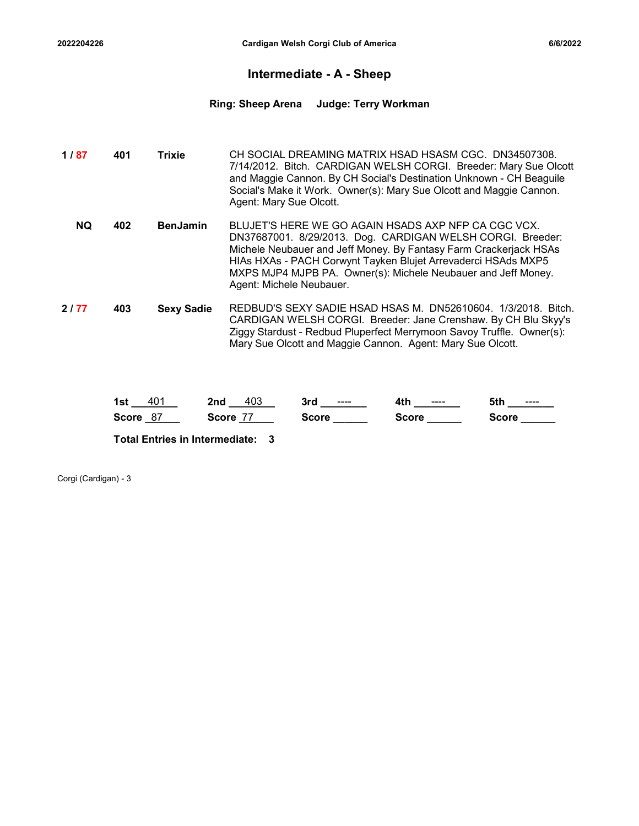### Intermediate - A - Sheep

# 2022204226 Cardigan Welsh Corgi Club of America<br>
Intermediate - A - Sheep<br>
Ring: Sheep Arena Judge: Terry Workman Ring: Sheep Arena Judge: Terry Workman

| Intermediate - A - Sheep<br><b>Judge: Terry Workman</b><br><b>Ring: Sheep Arena</b><br>CH SOCIAL DREAMING MATRIX HSAD HSASM CGC. DN34507308.<br>1/87<br>401<br><b>Trixie</b><br>7/14/2012. Bitch. CARDIGAN WELSH CORGI. Breeder: Mary Sue Olcott<br>and Maggie Cannon. By CH Social's Destination Unknown - CH Beaguile<br>Social's Make it Work. Owner(s): Mary Sue Olcott and Maggie Cannon.<br>Agent: Mary Sue Olcott.<br>BLUJET'S HERE WE GO AGAIN HSADS AXP NFP CA CGC VCX.<br><b>NQ</b><br>402<br><b>BenJamin</b><br>DN37687001. 8/29/2013. Dog. CARDIGAN WELSH CORGI. Breeder:<br>Michele Neubauer and Jeff Money. By Fantasy Farm Crackerjack HSAs<br>HIAs HXAs - PACH Corwynt Tayken Blujet Arrevaderci HSAds MXP5<br>MXPS MJP4 MJPB PA. Owner(s): Michele Neubauer and Jeff Money.<br>Agent: Michele Neubauer.<br>REDBUD'S SEXY SADIE HSAD HSAS M. DN52610604. 1/3/2018. Bitch.<br>2177<br>403<br><b>Sexy Sadie</b><br>CARDIGAN WELSH CORGI. Breeder: Jane Crenshaw. By CH Blu Skyy's<br>Ziggy Stardust - Redbud Pluperfect Merrymoon Savoy Truffle. Owner(s):<br>Mary Sue Olcott and Maggie Cannon. Agent: Mary Sue Olcott. | 2022204226 |            | Cardigan Welsh Corgi Club of America                                                       |  | 6/6/2022     |  |  |  |  |  |
|----------------------------------------------------------------------------------------------------------------------------------------------------------------------------------------------------------------------------------------------------------------------------------------------------------------------------------------------------------------------------------------------------------------------------------------------------------------------------------------------------------------------------------------------------------------------------------------------------------------------------------------------------------------------------------------------------------------------------------------------------------------------------------------------------------------------------------------------------------------------------------------------------------------------------------------------------------------------------------------------------------------------------------------------------------------------------------------------------------------------------------------|------------|------------|--------------------------------------------------------------------------------------------|--|--------------|--|--|--|--|--|
|                                                                                                                                                                                                                                                                                                                                                                                                                                                                                                                                                                                                                                                                                                                                                                                                                                                                                                                                                                                                                                                                                                                                        |            |            |                                                                                            |  |              |  |  |  |  |  |
|                                                                                                                                                                                                                                                                                                                                                                                                                                                                                                                                                                                                                                                                                                                                                                                                                                                                                                                                                                                                                                                                                                                                        |            |            |                                                                                            |  |              |  |  |  |  |  |
|                                                                                                                                                                                                                                                                                                                                                                                                                                                                                                                                                                                                                                                                                                                                                                                                                                                                                                                                                                                                                                                                                                                                        |            |            |                                                                                            |  |              |  |  |  |  |  |
|                                                                                                                                                                                                                                                                                                                                                                                                                                                                                                                                                                                                                                                                                                                                                                                                                                                                                                                                                                                                                                                                                                                                        |            |            |                                                                                            |  |              |  |  |  |  |  |
|                                                                                                                                                                                                                                                                                                                                                                                                                                                                                                                                                                                                                                                                                                                                                                                                                                                                                                                                                                                                                                                                                                                                        |            |            |                                                                                            |  |              |  |  |  |  |  |
|                                                                                                                                                                                                                                                                                                                                                                                                                                                                                                                                                                                                                                                                                                                                                                                                                                                                                                                                                                                                                                                                                                                                        |            | Score $87$ | 1st <u>401</u> 2nd 403 3rd <u>----</u> 4th <u>----</u><br>Score 77 Score Score Score Score |  | 5th ________ |  |  |  |  |  |

| 1st<br>-401        | 403<br>2nd | 3rd<br>$- - - -$ | 4th<br>$\qquad \qquad \cdots \qquad \qquad$ | 5th<br>----  |
|--------------------|------------|------------------|---------------------------------------------|--------------|
| 87<br><b>Score</b> | Score      | Score            | Score                                       | <b>Score</b> |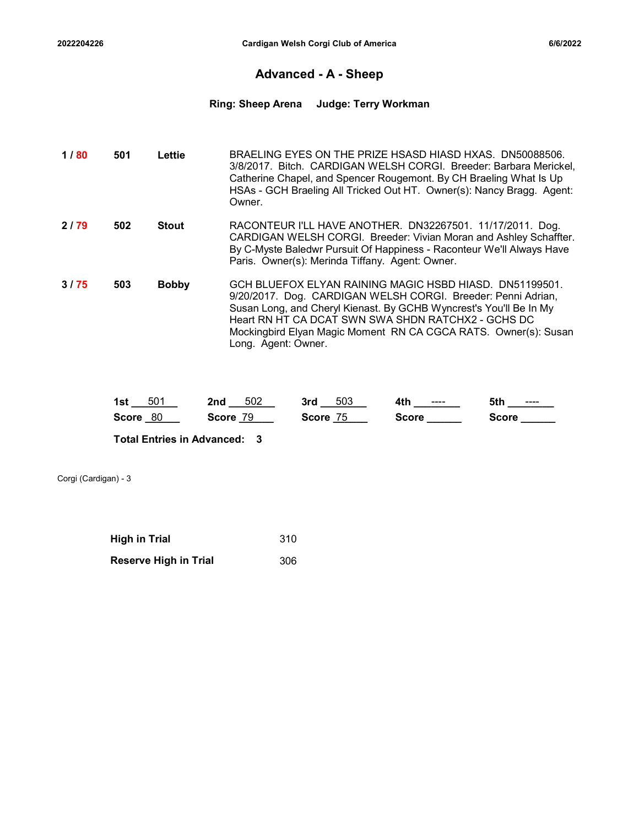### Advanced - A - Sheep

# 2022204226 Cardigan Welsh Corgi Club of America<br>Advanced - A - Sheep<br>Ring: Sheep Arena Judge: Terry Workman Ring: Sheep Arena Judge: Terry Workman

| 2022204226 |     |              |                             | Cardigan Welsh Corgi Club of America               |              |                                                                                                                                                                                                                                                                              | 6/6/2022 |
|------------|-----|--------------|-----------------------------|----------------------------------------------------|--------------|------------------------------------------------------------------------------------------------------------------------------------------------------------------------------------------------------------------------------------------------------------------------------|----------|
|            |     |              | <b>Advanced - A - Sheep</b> |                                                    |              |                                                                                                                                                                                                                                                                              |          |
|            |     |              | <b>Ring: Sheep Arena</b>    | <b>Judge: Terry Workman</b>                        |              |                                                                                                                                                                                                                                                                              |          |
| 1/80       | 501 | Lettie       | Owner.                      |                                                    |              | BRAELING EYES ON THE PRIZE HSASD HIASD HXAS. DN50088506.<br>3/8/2017. Bitch. CARDIGAN WELSH CORGI. Breeder: Barbara Merickel,<br>Catherine Chapel, and Spencer Rougemont. By CH Braeling What Is Up<br>HSAs - GCH Braeling All Tricked Out HT. Owner(s): Nancy Bragg. Agent: |          |
| 2/79       | 502 | <b>Stout</b> |                             | Paris. Owner(s): Merinda Tiffany. Agent: Owner.    |              | RACONTEUR I'LL HAVE ANOTHER. DN32267501. 11/17/2011. Dog.<br>CARDIGAN WELSH CORGI. Breeder: Vivian Moran and Ashley Schaffter.<br>By C-Myste Baledwr Pursuit Of Happiness - Raconteur We'll Always Have                                                                      |          |
| 3/75       | 503 | <b>Bobby</b> | Long. Agent: Owner.         | Heart RN HT CA DCAT SWN SWA SHDN RATCHX2 - GCHS DC |              | GCH BLUEFOX ELYAN RAINING MAGIC HSBD HIASD. DN51199501.<br>9/20/2017. Dog. CARDIGAN WELSH CORGI. Breeder: Penni Adrian,<br>Susan Long, and Cheryl Kienast. By GCHB Wyncrest's You'll Be In My<br>Mockingbird Elyan Magic Moment RN CA CGCA RATS. Owner(s): Susan             |          |
|            |     | 1st $501$    | 2nd $502$                   | $3rd$ $503$                                        | 4th ________ | 5th _______                                                                                                                                                                                                                                                                  |          |
|            |     | Score 80     | Score 79                    | Score 75                                           | Score ______ | $Score$ <sub>________</sub>                                                                                                                                                                                                                                                  |          |

| 50 <sup>2</sup>    | 502         | 503         | 4th   | 5th   |
|--------------------|-------------|-------------|-------|-------|
| 1st                | 2nd         | 3rd         | ----  | ----  |
| <b>Score</b><br>80 | 79<br>Score | 75<br>Score | Score | Score |

| <b>High in Trial</b>         | 310 |
|------------------------------|-----|
| <b>Reserve High in Trial</b> | 306 |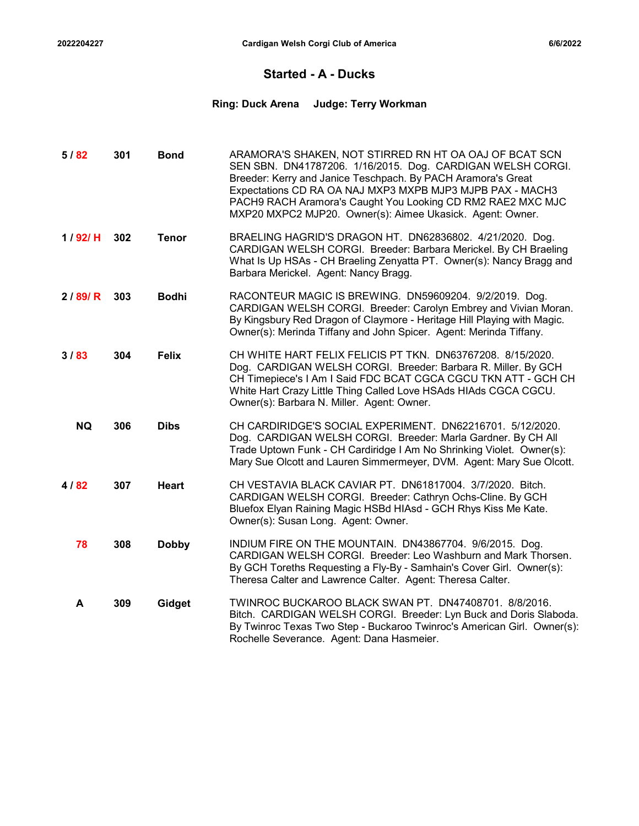### Started - A - Ducks

# 2022204227 Cardigan Welsh Corgi Club of America<br>Started - A - Ducks<br>Ring: Duck Arena Judge: Terry Workman Ring: Duck Arena Judge: Terry Workman

| 2022204227 |     |              |                         | Cardigan Welsh Corgi Club of America                                                                                                                                                                                                                                                                                                                                          | 6/6/2022 |
|------------|-----|--------------|-------------------------|-------------------------------------------------------------------------------------------------------------------------------------------------------------------------------------------------------------------------------------------------------------------------------------------------------------------------------------------------------------------------------|----------|
|            |     |              |                         | <b>Started - A - Ducks</b>                                                                                                                                                                                                                                                                                                                                                    |          |
|            |     |              | <b>Ring: Duck Arena</b> | <b>Judge: Terry Workman</b>                                                                                                                                                                                                                                                                                                                                                   |          |
| 5/82       | 301 | <b>Bond</b>  |                         | ARAMORA'S SHAKEN, NOT STIRRED RN HT OA OAJ OF BCAT SCN<br>SEN SBN. DN41787206. 1/16/2015. Dog. CARDIGAN WELSH CORGI.<br>Breeder: Kerry and Janice Teschpach. By PACH Aramora's Great<br>Expectations CD RA OA NAJ MXP3 MXPB MJP3 MJPB PAX - MACH3<br>PACH9 RACH Aramora's Caught You Looking CD RM2 RAE2 MXC MJC<br>MXP20 MXPC2 MJP20. Owner(s): Aimee Ukasick. Agent: Owner. |          |
| 1/92/H     | 302 | <b>Tenor</b> |                         | BRAELING HAGRID'S DRAGON HT. DN62836802. 4/21/2020. Dog.<br>CARDIGAN WELSH CORGI. Breeder: Barbara Merickel. By CH Braeling<br>What Is Up HSAs - CH Braeling Zenyatta PT. Owner(s): Nancy Bragg and<br>Barbara Merickel. Agent: Nancy Bragg.                                                                                                                                  |          |
| 2/89/R     | 303 | <b>Bodhi</b> |                         | RACONTEUR MAGIC IS BREWING. DN59609204. 9/2/2019. Dog.<br>CARDIGAN WELSH CORGI. Breeder: Carolyn Embrey and Vivian Moran.<br>By Kingsbury Red Dragon of Claymore - Heritage Hill Playing with Magic.<br>Owner(s): Merinda Tiffany and John Spicer. Agent: Merinda Tiffany.                                                                                                    |          |
| 3/83       | 304 | <b>Felix</b> |                         | CH WHITE HART FELIX FELICIS PT TKN. DN63767208. 8/15/2020.<br>Dog. CARDIGAN WELSH CORGI. Breeder: Barbara R. Miller. By GCH<br>CH Timepiece's I Am I Said FDC BCAT CGCA CGCU TKN ATT - GCH CH<br>White Hart Crazy Little Thing Called Love HSAds HIAds CGCA CGCU.<br>Owner(s): Barbara N. Miller. Agent: Owner.                                                               |          |
| <b>NQ</b>  | 306 | <b>Dibs</b>  |                         | CH CARDIRIDGE'S SOCIAL EXPERIMENT. DN62216701. 5/12/2020.<br>Dog. CARDIGAN WELSH CORGI. Breeder: Marla Gardner. By CH All<br>Trade Uptown Funk - CH Cardiridge I Am No Shrinking Violet. Owner(s):<br>Mary Sue Olcott and Lauren Simmermeyer, DVM. Agent: Mary Sue Olcott.                                                                                                    |          |
| 4/82       | 307 | Heart        |                         | CH VESTAVIA BLACK CAVIAR PT. DN61817004. 3/7/2020. Bitch.<br>CARDIGAN WELSH CORGI. Breeder: Cathryn Ochs-Cline. By GCH<br>Bluefox Elyan Raining Magic HSBd HIAsd - GCH Rhys Kiss Me Kate.<br>Owner(s): Susan Long. Agent: Owner.                                                                                                                                              |          |
| 78         | 308 | <b>Dobby</b> |                         | INDIUM FIRE ON THE MOUNTAIN. DN43867704. 9/6/2015. Dog.<br>CARDIGAN WELSH CORGI. Breeder: Leo Washburn and Mark Thorsen.<br>By GCH Toreths Requesting a Fly-By - Samhain's Cover Girl. Owner(s):<br>Theresa Calter and Lawrence Calter. Agent: Theresa Calter.                                                                                                                |          |
| A          | 309 | Gidget       |                         | TWINROC BUCKAROO BLACK SWAN PT. DN47408701. 8/8/2016.<br>Bitch. CARDIGAN WELSH CORGI. Breeder: Lyn Buck and Doris Slaboda.<br>By Twinroc Texas Two Step - Buckaroo Twinroc's American Girl. Owner(s):<br>Rochelle Severance. Agent: Dana Hasmeier.                                                                                                                            |          |
|            |     |              |                         |                                                                                                                                                                                                                                                                                                                                                                               |          |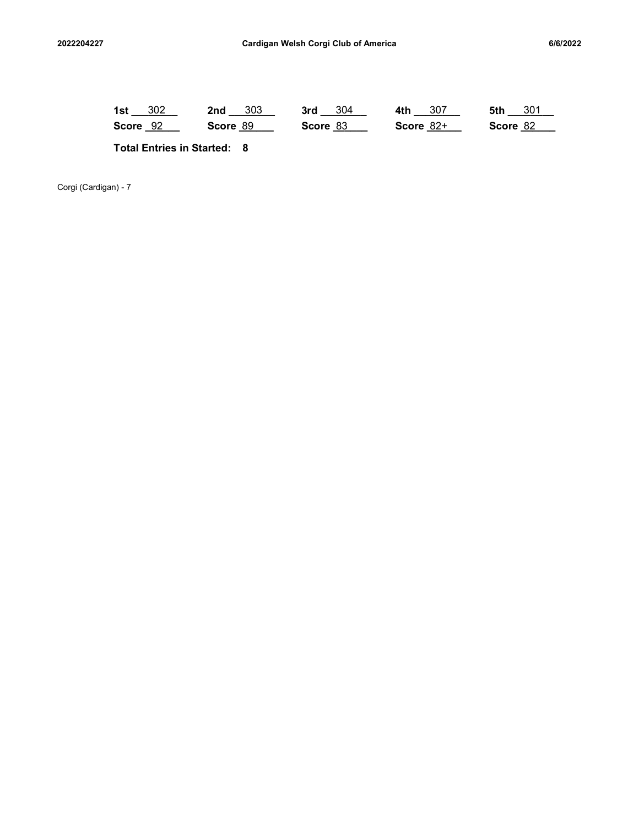| 2022204227           | Cardigan Welsh Corgi Club of America |  |                                    |  |                         | 6/6/2022 |                         |  |             |  |  |                     |  |  |
|----------------------|--------------------------------------|--|------------------------------------|--|-------------------------|----------|-------------------------|--|-------------|--|--|---------------------|--|--|
|                      |                                      |  |                                    |  |                         |          |                         |  |             |  |  |                     |  |  |
|                      | 1st $302$<br>Score 92                |  |                                    |  | $2nd - 303$<br>Score 89 |          | $3rd - 304$<br>Score 83 |  | Score $82+$ |  |  | 5th 301<br>Score 82 |  |  |
|                      |                                      |  | <b>Total Entries in Started: 8</b> |  |                         |          |                         |  |             |  |  |                     |  |  |
| Corgi (Cardigan) - 7 |                                      |  |                                    |  |                         |          |                         |  |             |  |  |                     |  |  |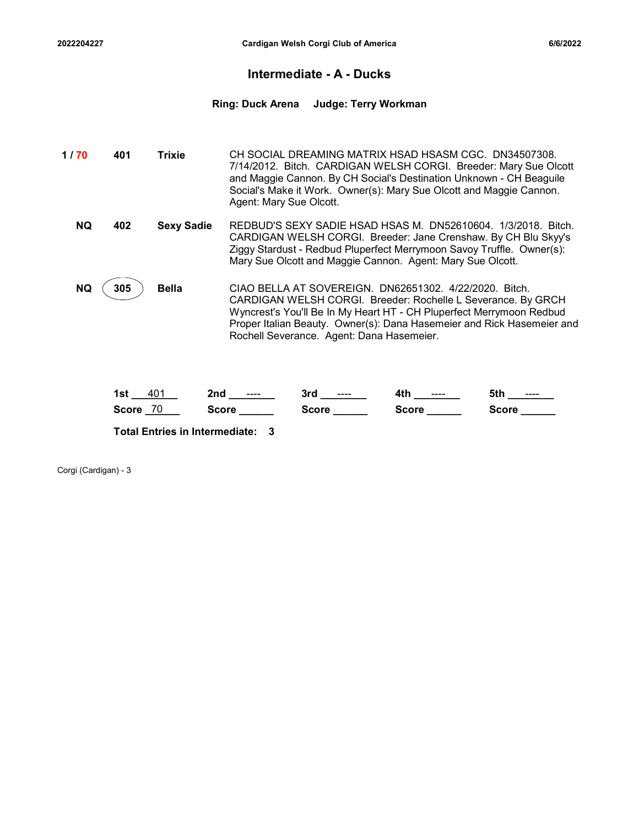### Intermediate - A - Ducks

2022204227 Cardigan Welsh Corgi Club of America<br>Intermediate - A - Ducks<br>Ring: Duck Arena Judge: Terry Workman Ring: Duck Arena Judge: Terry Workman

| 022204227 |     |                   | Cardigan Welsh Corgi Club of America                                                                                                                                                                                                                                                               |                             | 6/6/2022                                                               |
|-----------|-----|-------------------|----------------------------------------------------------------------------------------------------------------------------------------------------------------------------------------------------------------------------------------------------------------------------------------------------|-----------------------------|------------------------------------------------------------------------|
|           |     |                   | Intermediate - A - Ducks                                                                                                                                                                                                                                                                           |                             |                                                                        |
|           |     |                   | <b>Ring: Duck Arena</b>                                                                                                                                                                                                                                                                            | <b>Judge: Terry Workman</b> |                                                                        |
| 1/70      | 401 | <b>Trixie</b>     | CH SOCIAL DREAMING MATRIX HSAD HSASM CGC. DN34507308.<br>7/14/2012. Bitch. CARDIGAN WELSH CORGI. Breeder: Mary Sue Olcott<br>and Maggie Cannon. By CH Social's Destination Unknown - CH Beaguile<br>Social's Make it Work. Owner(s): Mary Sue Olcott and Maggie Cannon.<br>Agent: Mary Sue Olcott. |                             |                                                                        |
| <b>NQ</b> | 402 | <b>Sexy Sadie</b> | REDBUD'S SEXY SADIE HSAD HSAS M. DN52610604. 1/3/2018. Bitch.<br>CARDIGAN WELSH CORGI. Breeder: Jane Crenshaw. By CH Blu Skyy's<br>Ziggy Stardust - Redbud Pluperfect Merrymoon Savoy Truffle. Owner(s):<br>Mary Sue Olcott and Maggie Cannon. Agent: Mary Sue Olcott.                             |                             |                                                                        |
| <b>NQ</b> | 305 | <b>Bella</b>      | CIAO BELLA AT SOVEREIGN. DN62651302. 4/22/2020. Bitch.<br>CARDIGAN WELSH CORGI. Breeder: Rochelle L Severance. By GRCH<br>Wyncrest's You'll Be In My Heart HT - CH Pluperfect Merrymoon Redbud<br>Rochell Severance. Agent: Dana Hasemeier.                                                        |                             | Proper Italian Beauty. Owner(s): Dana Hasemeier and Rick Hasemeier and |

| 40<br>1st          | 2nd<br>---- | 3rd<br>---- | 4th<br>$--- -$<br>ты. | にもし<br>$\cdots$<br>จเ |
|--------------------|-------------|-------------|-----------------------|-----------------------|
| 70<br><b>Score</b> | icore       | Score       | ਤcore                 | Score                 |